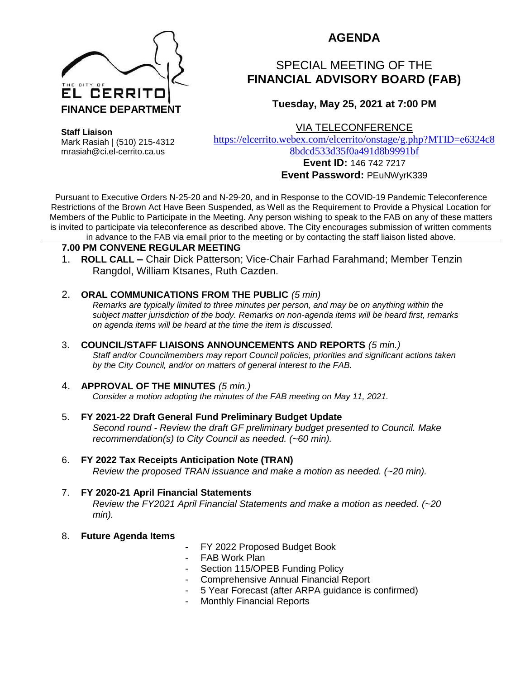

## **AGENDA**

# SPECIAL MEETING OF THE **FINANCIAL ADVISORY BOARD (FAB)**

### **Tuesday, May 25, 2021 at 7:00 PM**

VIA TELECONFERENCE

**Staff Liaison**

Mark Rasiah | (510) 215-4312 mrasiah@ci.el-cerrito.ca.us

[https://elcerrito.webex.com/elcerrito/onstage/g.php?MTID=e6324c8](https://elcerrito.webex.com/elcerrito/onstage/g.php?MTID=e6324c88bdcd533d35f0a491d8b9991bf) [8bdcd533d35f0a491d8b9991bf](https://elcerrito.webex.com/elcerrito/onstage/g.php?MTID=e6324c88bdcd533d35f0a491d8b9991bf)

#### **Event ID:** 146 742 7217 **Event Password:** PEuNWyrK339

Pursuant to Executive Orders N-25-20 and N-29-20, and in Response to the COVID-19 Pandemic Teleconference Restrictions of the Brown Act Have Been Suspended, as Well as the Requirement to Provide a Physical Location for Members of the Public to Participate in the Meeting. Any person wishing to speak to the FAB on any of these matters is invited to participate via teleconference as described above. The City encourages submission of written comments in advance to the FAB via email prior to the meeting or by contacting the staff liaison listed above.

#### **7.00 PM CONVENE REGULAR MEETING**

1. **ROLL CALL –** Chair Dick Patterson; Vice-Chair Farhad Farahmand; Member Tenzin Rangdol, William Ktsanes, Ruth Cazden.

#### 2. **ORAL COMMUNICATIONS FROM THE PUBLIC** *(5 min)*

*Remarks are typically limited to three minutes per person, and may be on anything within the subject matter jurisdiction of the body. Remarks on non-agenda items will be heard first, remarks on agenda items will be heard at the time the item is discussed.* 

3. **COUNCIL/STAFF LIAISONS ANNOUNCEMENTS AND REPORTS** *(5 min.)*

*Staff and/or Councilmembers may report Council policies, priorities and significant actions taken by the City Council, and/or on matters of general interest to the FAB.*

#### 4. **APPROVAL OF THE MINUTES** *(5 min.)*

*Consider a motion adopting the minutes of the FAB meeting on May 11, 2021.*

5. **FY 2021-22 Draft General Fund Preliminary Budget Update** *Second round - Review the draft GF preliminary budget presented to Council. Make recommendation(s) to City Council as needed. (~60 min).*

#### 6. **FY 2022 Tax Receipts Anticipation Note (TRAN)** *Review the proposed TRAN issuance and make a motion as needed. (~20 min).*

#### 7. **FY 2020-21 April Financial Statements** *Review the FY2021 April Financial Statements and make a motion as needed. (~20 min).*

#### 8. **Future Agenda Items**

- FY 2022 Proposed Budget Book
- FAB Work Plan
- Section 115/OPEB Funding Policy
- Comprehensive Annual Financial Report
- 5 Year Forecast (after ARPA guidance is confirmed)
- Monthly Financial Reports